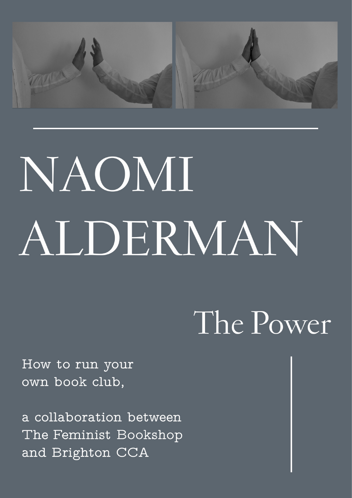

# NAOMI ALDERMAN

## The Power

How to run your own book club,

a collaboration between The Feminist Bookshop and Brighton CCA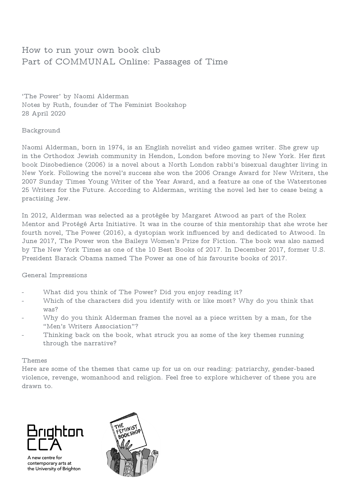### How to run your own book club Part of COMMUNAL Online: Passages of Time

'The Power' by Naomi Alderman Notes by Ruth, founder of The Feminist Bookshop 28 April 2020

#### Background

Naomi Alderman, born in 1974, is an English novelist and video games writer. She grew up in the Orthodox Jewish community in Hendon, London before moving to New York. Her first book Disobedience (2006) is a novel about a North London rabbi's bisexual daughter living in New York. Following the novel's success she won the 2006 Orange Award for New Writers, the 2007 Sunday Times Young Writer of the Year Award, and a feature as one of the Waterstones 25 Writers for the Future. According to Alderman, writing the novel led her to cease being a practising Jew.

In 2012, Alderman was selected as a protégée by Margaret Atwood as part of the Rolex Mentor and Protégé Arts Initiative. It was in the course of this mentorship that she wrote her fourth novel, The Power (2016), a dystopian work influenced by and dedicated to Atwood. In June 2017, The Power won the Baileys Women's Prize for Fiction. The book was also named by The New York Times as one of the 10 Best Books of 2017. In December 2017, former U.S. President Barack Obama named The Power as one of his favourite books of 2017.

#### General Impressions

- What did you think of The Power? Did you enjoy reading it?
- Which of the characters did you identify with or like most? Why do you think that was?
- Why do you think Alderman frames the novel as a piece written by a man, for the "Men's Writers Association"?
- Thinking back on the book, what struck you as some of the key themes running through the narrative?

#### Themes

Here are some of the themes that came up for us on our reading: patriarchy, gender-based violence, revenge, womanhood and religion. Feel free to explore whichever of these you are drawn to.



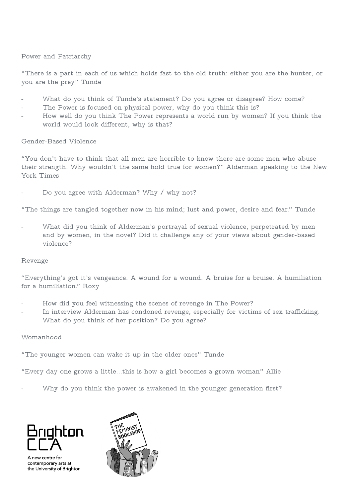#### Power and Patriarchy

"There is a part in each of us which holds fast to the old truth: either you are the hunter, or you are the prey" Tunde

- What do you think of Tunde's statement? Do you agree or disagree? How come?
- The Power is focused on physical power, why do you think this is?
- How well do you think The Power represents a world run by women? If you think the world would look different, why is that?

#### Gender-Based Violence

"You don't have to think that all men are horrible to know there are some men who abuse their strength. Why wouldn't the same hold true for women?" Alderman speaking to the New York Times

Do you agree with Alderman? Why / why not?

"The things are tangled together now in his mind; lust and power, desire and fear." Tunde

What did you think of Alderman's portrayal of sexual violence, perpetrated by men and by women, in the novel? Did it challenge any of your views about gender-based violence?

#### Revenge

"Everything's got it's vengeance. A wound for a wound. A bruise for a bruise. A humiliation for a humiliation." Roxy

- How did you feel witnessing the scenes of revenge in The Power?
- In interview Alderman has condoned revenge, especially for victims of sex trafficking. What do you think of her position? Do you agree?

#### Womanhood

"The younger women can wake it up in the older ones" Tunde

"Every day one grows a little...this is how a girl becomes a grown woman" Allie

Why do you think the power is awakened in the younger generation first?



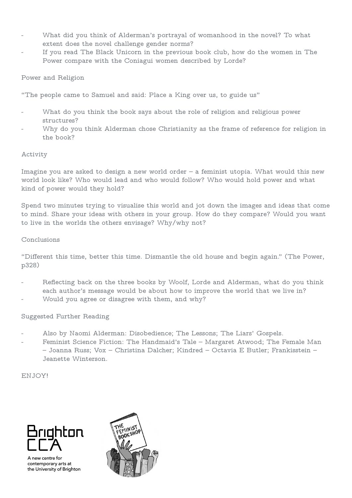- What did you think of Alderman's portrayal of womanhood in the novel? To what extent does the novel challenge gender norms?
- If you read The Black Unicorn in the previous book club, how do the women in The Power compare with the Coniagui women described by Lorde?

#### Power and Religion

"The people came to Samuel and said: Place a King over us, to guide us"

- What do you think the book says about the role of religion and religious power structures?
- Why do you think Alderman chose Christianity as the frame of reference for religion in the book?

#### Activity

Imagine you are asked to design a new world order – a feminist utopia. What would this new world look like? Who would lead and who would follow? Who would hold power and what kind of power would they hold?

Spend two minutes trying to visualise this world and jot down the images and ideas that come to mind. Share your ideas with others in your group. How do they compare? Would you want to live in the worlds the others envisage? Why/why not?

#### Conclusions

"Different this time, better this time. Dismantle the old house and begin again." (The Power, p328)

- Reflecting back on the three books by Woolf, Lorde and Alderman, what do you think each author's message would be about how to improve the world that we live in?
- Would you agree or disagree with them, and why?

#### Suggested Further Reading

- Also by Naomi Alderman: Disobedience; The Lessons; The Liars' Gospels.
- Feminist Science Fiction: The Handmaid's Tale Margaret Atwood; The Female Man – Joanna Russ; Vox – Christina Dalcher; Kindred – Octavia E Butler; Frankisstein – Jeanette Winterson.

ENJOY!